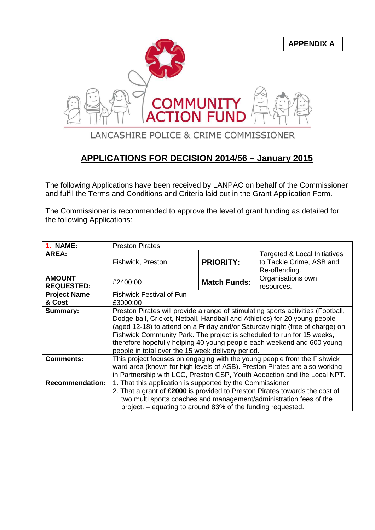

## **APPLICATIONS FOR DECISION 2014/56 – January 2015**

The following Applications have been received by LANPAC on behalf of the Commissioner and fulfil the Terms and Conditions and Criteria laid out in the Grant Application Form.

The Commissioner is recommended to approve the level of grant funding as detailed for the following Applications:

| <b>1. NAME:</b>                    | <b>Preston Pirates</b>                                                                                                                                                                                                                                                                                                                                                                                                                                 |                     |                                                                           |
|------------------------------------|--------------------------------------------------------------------------------------------------------------------------------------------------------------------------------------------------------------------------------------------------------------------------------------------------------------------------------------------------------------------------------------------------------------------------------------------------------|---------------------|---------------------------------------------------------------------------|
| AREA:                              | Fishwick, Preston.                                                                                                                                                                                                                                                                                                                                                                                                                                     | <b>PRIORITY:</b>    | Targeted & Local Initiatives<br>to Tackle Crime, ASB and<br>Re-offending. |
| <b>AMOUNT</b><br><b>REQUESTED:</b> | £2400:00                                                                                                                                                                                                                                                                                                                                                                                                                                               | <b>Match Funds:</b> | Organisations own<br>resources.                                           |
| <b>Project Name</b>                | <b>Fishwick Festival of Fun</b>                                                                                                                                                                                                                                                                                                                                                                                                                        |                     |                                                                           |
| & Cost                             | £3000:00                                                                                                                                                                                                                                                                                                                                                                                                                                               |                     |                                                                           |
| Summary:                           | Preston Pirates will provide a range of stimulating sports activities (Football,<br>Dodge-ball, Cricket, Netball, Handball and Athletics) for 20 young people<br>(aged 12-18) to attend on a Friday and/or Saturday night (free of charge) on<br>Fishwick Community Park. The project is scheduled to run for 15 weeks,<br>therefore hopefully helping 40 young people each weekend and 600 young<br>people in total over the 15 week delivery period. |                     |                                                                           |
| <b>Comments:</b>                   | This project focuses on engaging with the young people from the Fishwick<br>ward area (known for high levels of ASB). Preston Pirates are also working<br>in Partnership with LCC, Preston CSP, Youth Addaction and the Local NPT.                                                                                                                                                                                                                     |                     |                                                                           |
| <b>Recommendation:</b>             | 1. That this application is supported by the Commissioner<br>2. That a grant of £2000 is provided to Preston Pirates towards the cost of<br>two multi sports coaches and management/administration fees of the<br>project. - equating to around 83% of the funding requested.                                                                                                                                                                          |                     |                                                                           |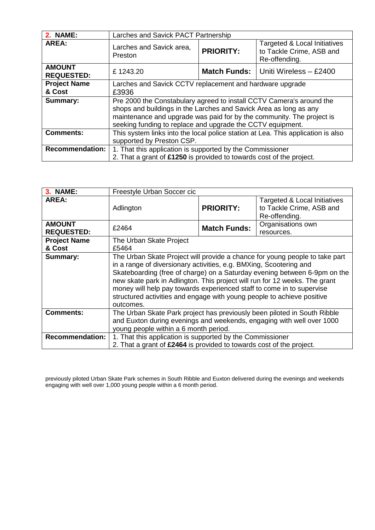| <b>2. NAME:</b>                    | Larches and Savick PACT Partnership                                              |                     |                                                                           |
|------------------------------------|----------------------------------------------------------------------------------|---------------------|---------------------------------------------------------------------------|
| <b>AREA:</b>                       | Larches and Savick area,<br>Preston                                              | <b>PRIORITY:</b>    | Targeted & Local Initiatives<br>to Tackle Crime, ASB and<br>Re-offending. |
| <b>AMOUNT</b><br><b>REQUESTED:</b> | £1243.20                                                                         | <b>Match Funds:</b> | Uniti Wireless - £2400                                                    |
| <b>Project Name</b>                | Larches and Savick CCTV replacement and hardware upgrade                         |                     |                                                                           |
| & Cost                             | £3936                                                                            |                     |                                                                           |
| Summary:                           | Pre 2000 the Constabulary agreed to install CCTV Camera's around the             |                     |                                                                           |
|                                    | shops and buildings in the Larches and Savick Area as long as any                |                     |                                                                           |
|                                    | maintenance and upgrade was paid for by the community. The project is            |                     |                                                                           |
|                                    | seeking funding to replace and upgrade the CCTV equipment.                       |                     |                                                                           |
| <b>Comments:</b>                   | This system links into the local police station at Lea. This application is also |                     |                                                                           |
|                                    | supported by Preston CSP.                                                        |                     |                                                                           |
| <b>Recommendation:</b>             | 1. That this application is supported by the Commissioner                        |                     |                                                                           |
|                                    | 2. That a grant of £1250 is provided to towards cost of the project.             |                     |                                                                           |

| <b>3. NAME:</b>                    | Freestyle Urban Soccer cic                                                                                                                                                                                                                                                                                                                                                                                                                                                   |                     |                                                                           |
|------------------------------------|------------------------------------------------------------------------------------------------------------------------------------------------------------------------------------------------------------------------------------------------------------------------------------------------------------------------------------------------------------------------------------------------------------------------------------------------------------------------------|---------------------|---------------------------------------------------------------------------|
| AREA:                              | Adlington                                                                                                                                                                                                                                                                                                                                                                                                                                                                    | <b>PRIORITY:</b>    | Targeted & Local Initiatives<br>to Tackle Crime, ASB and<br>Re-offending. |
| <b>AMOUNT</b><br><b>REQUESTED:</b> | £2464                                                                                                                                                                                                                                                                                                                                                                                                                                                                        | <b>Match Funds:</b> | Organisations own<br>resources.                                           |
| <b>Project Name</b>                | The Urban Skate Project                                                                                                                                                                                                                                                                                                                                                                                                                                                      |                     |                                                                           |
| & Cost                             | £5464                                                                                                                                                                                                                                                                                                                                                                                                                                                                        |                     |                                                                           |
| Summary:                           | The Urban Skate Project will provide a chance for young people to take part<br>in a range of diversionary activities, e.g. BMXing, Scootering and<br>Skateboarding (free of charge) on a Saturday evening between 6-9pm on the<br>new skate park in Adlington. This project will run for 12 weeks. The grant<br>money will help pay towards experienced staff to come in to supervise<br>structured activities and engage with young people to achieve positive<br>outcomes. |                     |                                                                           |
| <b>Comments:</b>                   | The Urban Skate Park project has previously been piloted in South Ribble<br>and Euxton during evenings and weekends, engaging with well over 1000<br>young people within a 6 month period.                                                                                                                                                                                                                                                                                   |                     |                                                                           |
| <b>Recommendation:</b>             | 1. That this application is supported by the Commissioner<br>2. That a grant of £2464 is provided to towards cost of the project.                                                                                                                                                                                                                                                                                                                                            |                     |                                                                           |

previously piloted Urban Skate Park schemes in South Ribble and Euxton delivered during the evenings and weekends engaging with well over 1,000 young people within a 6 month period.